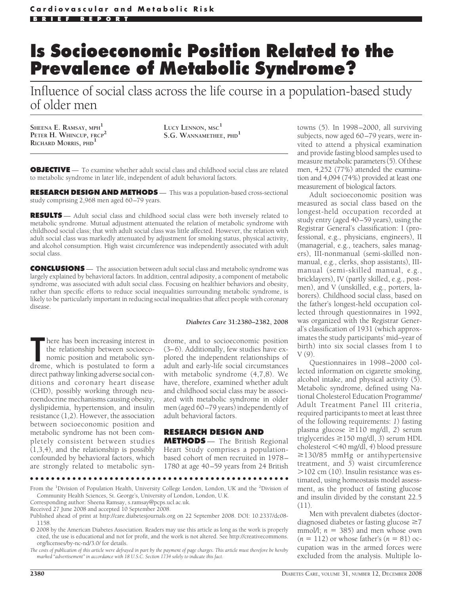# **Is Socioeconomic Position Related to the Prevalence of Metabolic Syndrome?**

Influence of social class across the life course in a population-based study of older men

**SHEENA E. RAMSAY, MPH<sup>1</sup> PETER H. WHINCUP, FRCP<sup>2</sup> RICHARD MORRIS, PHD<sup>1</sup>**

**LUCY LENNON, MSC<sup>1</sup> S.G. WANNAMETHEE, PHD<sup>1</sup>**

**OBJECTIVE** — To examine whether adult social class and childhood social class are related to metabolic syndrome in later life, independent of adult behavioral factors.

**RESEARCH DESIGN AND METHODS** — This was a population-based cross-sectional study comprising 2,968 men aged 60-79 years.

**RESULTS** — Adult social class and childhood social class were both inversely related to metabolic syndrome. Mutual adjustment attenuated the relation of metabolic syndrome with childhood social class; that with adult social class was little affected. However, the relation with adult social class was markedly attenuated by adjustment for smoking status, physical activity, and alcohol consumption. High waist circumference was independently associated with adult social class.

**CONCLUSIONS** — The association between adult social class and metabolic syndrome was largely explained by behavioral factors. In addition, central adiposity, a component of metabolic syndrome, was associated with adult social class. Focusing on healthier behaviors and obesity, rather than specific efforts to reduce social inequalities surrounding metabolic syndrome, is likely to be particularly important in reducing social inequalities that affect people with coronary disease.

#### *Diabetes Care* **31:2380–2382, 2008**

There has been increasing interest in the relationship between socioeconomic position and metabolic syndrome, which is postulated to form a here has been increasing interest in the relationship between socioeconomic position and metabolic syndirect pathway linking adverse social conditions and coronary heart disease (CHD), possibly working through neuroendocrine mechanisms causing obesity, dyslipidemia, hypertension, and insulin resistance (1,2). However, the association between socioeconomic position and metabolic syndrome has not been completely consistent between studies (1,3,4), and the relationship is possibly confounded by behavioral factors, which are strongly related to metabolic syn-

drome, and to socioeconomic position (3– 6). Additionally, few studies have explored the independent relationships of adult and early-life social circumstances with metabolic syndrome (4,7,8). We have, therefore, examined whether adult and childhood social class may be associated with metabolic syndrome in older men (aged 60 –79 years) independently of adult behavioral factors.

## **RESEARCH DESIGN AND**

**METHODS** — The British Regional Heart Study comprises a populationbased cohort of men recruited in 1978 – 1780 at age 40 –59 years from 24 British

●●●●●●●●●●●●●●●●●●●●●●●●●●●●●●●●●●●●●●●●●●●●●●●●●

From the <sup>1</sup>Division of Population Health, University College London, London, UK and the <sup>2</sup>Division of Community Health Sciences, St. George's, University of London, London, U.K.

Corresponding author: Sheena Ramsay, s.ramsay@pcps.ucl.ac.uk. Received 27 June 2008 and accepted 10 September 2008.

*The costs of publication of this article were defrayed in part by the payment of page charges. This article must therefore be hereby marked "advertisement" in accordance with 18 U.S.C. Section 1734 solely to indicate this fact.*

towns (5). In 1998 –2000, all surviving subjects, now aged 60–79 years, were invited to attend a physical examination and provide fasting blood samples used to measure metabolic parameters  $(5)$ . Of these men, 4,252 (77%) attended the examination and 4,094 (74%) provided at least one measurement of biological factors.

Adult socioeconomic position was measured as social class based on the longest-held occupation recorded at study entry (aged 40 –59 years), using the Registrar General's classification: I (professional, e.g., physicians, engineers), II (managerial, e.g., teachers, sales managers), III-nonmanual (semi-skilled nonmanual, e.g., clerks, shop assistants), IIImanual (semi-skilled manual, e.g., bricklayers), IV (partly skilled, e.g., postmen), and V (unskilled, e.g., porters, laborers). Childhood social class, based on the father's longest-held occupation collected through questionnaires in 1992, was organized with the Registrar General's classification of 1931 (which approximates the study participants' mid–year of birth) into six social classes from I to V (9).

Questionnaires in 1998 –2000 collected information on cigarette smoking, alcohol intake, and physical activity (5). Metabolic syndrome, defined using National Cholesterol Education Programme/ Adult Treatment Panel III criteria, required participants to meet at least three of the following requirements: *1*) fasting plasma glucose ≥110 mg/dl, 2) serum triglycerides 150 mg/dl, *3*) serum HDL cholesterol 40 mg/dl, *4*) blood pressure  $\geq$ 130/85 mmHg or antihypertensive treatment, and *5*) waist circumference -102 cm (10). Insulin resistance was estimated, using homeostasis model assessment, as the product of fasting glucose and insulin divided by the constant 22.5 (11).

Men with prevalent diabetes (doctordiagnosed diabetes or fasting glucose  $\geq 7$ mmol $/l$ ;  $n = 385$ ) and men whose own  $(n = 112)$  or whose father's  $(n = 81)$  occupation was in the armed forces were excluded from the analysis. Multiple lo-

Published ahead of print at http://care.diabetesjournals.org on 22 September 2008. DOI: 10.2337/dc08- 1158.

<sup>© 2008</sup> by the American Diabetes Association. Readers may use this article as long as the work is properly cited, the use is educational and not for profit, and the work is not altered. See http://creativecommons. org/licenses/by-nc-nd/3.0/ for details.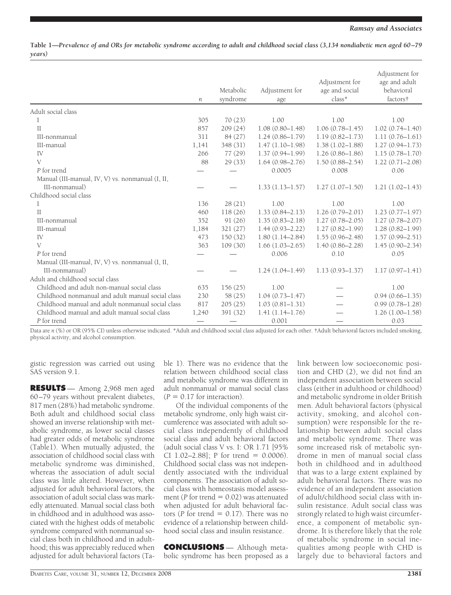**Table 1—***Prevalence of and ORs for metabolic syndrome according to adult and childhood social class (3,134 nondiabetic men aged 60 –79 years)*

|                                                   | n     | Metabolic<br>syndrome | Adjustment for<br>age | Adjustment for<br>age and social<br>class* | Adjustment for<br>age and adult<br>behavioral<br>factors† |
|---------------------------------------------------|-------|-----------------------|-----------------------|--------------------------------------------|-----------------------------------------------------------|
| Adult social class                                |       |                       |                       |                                            |                                                           |
| 1                                                 | 305   | 70(23)                | 1.00                  | 1.00                                       | 1.00                                                      |
| $\mathbf{H}$                                      | 857   | 209(24)               | $1.08(0.80 - 1.48)$   | $1.06(0.78 - 1.45)$                        | $1.02(0.74 - 1.40)$                                       |
| III-nonmanual                                     | 311   | 84 (27)               | $1.24(0.86 - 1.79)$   | $1.19(0.82 - 1.73)$                        | $1.11(0.76 - 1.61)$                                       |
| III-manual                                        | 1,141 | 348 (31)              | $1.47(1.10-1.98)$     | $1.38(1.02 - 1.88)$                        | $1.27(0.94 - 1.73)$                                       |
| IV                                                | 266   | 77(29)                | $1.37(0.94 - 1.99)$   | $1.26(0.86 - 1.86)$                        | $1.15(0.78 - 1.70)$                                       |
| V                                                 | 88    | 29(33)                | $1.64(0.98 - 2.76)$   | $1.50(0.88 - 2.54)$                        | $1.22(0.71 - 2.08)$                                       |
| P for trend                                       |       |                       | 0.0005                | 0.008                                      | 0.06                                                      |
| Manual (III-manual, IV, V) vs. nonmanual (I, II,  |       |                       |                       |                                            |                                                           |
| III-nonmanual)                                    |       |                       | $1.33(1.13 - 1.57)$   | $1.27(1.07-1.50)$                          | $1.21(1.02 - 1.43)$                                       |
| Childhood social class                            |       |                       |                       |                                            |                                                           |
| I                                                 | 136   | 28(21)                | 1.00                  | 1.00                                       | 1.00                                                      |
| $\mathbf{I}$                                      | 460   | 118(26)               | $1.33(0.84 - 2.13)$   | $1.26(0.79 - 2.01)$                        | $1.23(0.77 - 1.97)$                                       |
| III-nonmanual                                     | 352   | 91(26)                | $1.35(0.83 - 2.18)$   | $1.27(0.78 - 2.05)$                        | $1.27(0.78 - 2.07)$                                       |
| III-manual                                        | 1,184 | 321(27)               | $1.44(0.93 - 2.22)$   | $1.27(0.82 - 1.99)$                        | $1.28(0.82 - 1.99)$                                       |
| IV                                                | 473   | 150(32)               | $1.80(1.14 - 2.84)$   | $1.55(0.96 - 2.48)$                        | $1.57(0.99 - 2.51)$                                       |
| V                                                 | 363   | 109(30)               | $1.66(1.03 - 2.65)$   | $1.40(0.86 - 2.28)$                        | $1.45(0.90 - 2.34)$                                       |
| P for trend                                       |       |                       | 0.006                 | 0.10                                       | 0.05                                                      |
| Manual (III-manual, IV, V) vs. nonmanual (I, II,  |       |                       |                       |                                            |                                                           |
| III-nonmanual)                                    |       |                       | $1.24(1.04 - 1.49)$   | $1.13(0.93 - 1.37)$                        | $1.17(0.97 - 1.41)$                                       |
| Adult and childhood social class                  |       |                       |                       |                                            |                                                           |
| Childhood and adult non-manual social class       | 635   | 156(25)               | 1.00                  |                                            | 1.00                                                      |
| Childhood nonmanual and adult manual social class | 230   | 58 (25)               | $1.04(0.73 - 1.47)$   |                                            | $0.94(0.66 - 1.35)$                                       |
| Childhood manual and adult nonmanual social class | 817   | 205(25)               | $1.03(0.81 - 1.31)$   |                                            | $0.99(0.78 - 1.28)$                                       |
| Childhood manual and adult manual social class    | 1,240 | 391 (32)              | $1.41(1.14-1.76)$     |                                            | $1.26(1.00 - 1.58)$                                       |
| P for trend                                       |       |                       | 0.001                 |                                            | 0.03                                                      |

Data are *n* (%) or OR (95% CI) unless otherwise indicated. \*Adult and childhood social class adjusted for each other. †Adult behavioral factors included smoking, physical activity, and alcohol consumption.

gistic regression was carried out using SAS version 9.1.

**RESULTS** — Among 2,968 men aged 60 –79 years without prevalent diabetes, 817 men (28%) had metabolic syndrome. Both adult and childhood social class showed an inverse relationship with metabolic syndrome, as lower social classes had greater odds of metabolic syndrome (Table1). When mutually adjusted, the association of childhood social class with metabolic syndrome was diminished, whereas the association of adult social class was little altered. However, when adjusted for adult behavioral factors, the association of adult social class was markedly attenuated. Manual social class both in childhood and in adulthood was associated with the highest odds of metabolic syndrome compared with nonmanual social class both in childhood and in adulthood; this was appreciably reduced when adjusted for adult behavioral factors (Table 1). There was no evidence that the relation between childhood social class and metabolic syndrome was different in adult nonmanual or manual social class  $(P = 0.17$  for interaction).

Of the individual components of the metabolic syndrome, only high waist circumference was associated with adult social class independently of childhood social class and adult behavioral factors (adult social class V vs. I: OR 1.71 [95% CI 1.02-2.88]; P for trend =  $0.0006$ . Childhood social class was not independently associated with the individual components. The association of adult social class with homeostasis model assessment ( $P$  for trend  $= 0.02$ ) was attenuated when adjusted for adult behavioral factors ( $P$  for trend  $= 0.17$ ). There was no evidence of a relationship between childhood social class and insulin resistance.

**CONCLUSIONS** — Although metabolic syndrome has been proposed as a link between low socioeconomic position and CHD (2), we did not find an independent association between social class (either in adulthood or childhood) and metabolic syndrome in older British men. Adult behavioral factors (physical activity, smoking, and alcohol consumption) were responsible for the relationship between adult social class and metabolic syndrome. There was some increased risk of metabolic syndrome in men of manual social class both in childhood and in adulthood that was to a large extent explained by adult behavioral factors. There was no evidence of an independent association of adult/childhood social class with insulin resistance. Adult social class was strongly related to high waist circumference, a component of metabolic syndrome. It is therefore likely that the role of metabolic syndrome in social inequalities among people with CHD is largely due to behavioral factors and